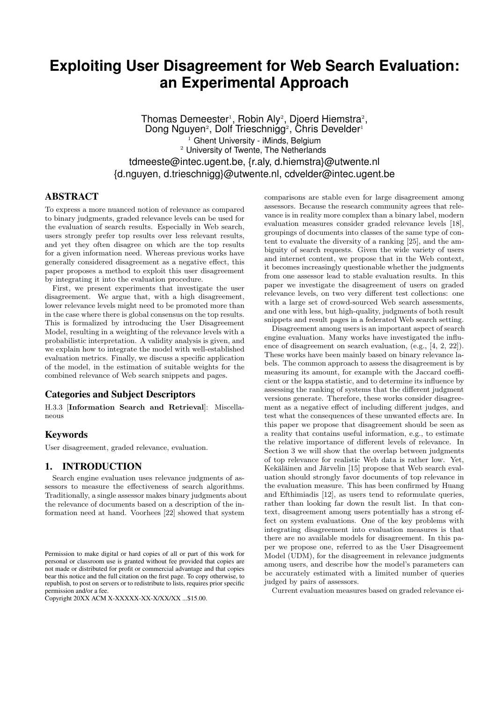# **Exploiting User Disagreement for Web Search Evaluation: an Experimental Approach**

Thomas Demeester<sup>1</sup>, Robin Aly<sup>2</sup>, Djoerd Hiemstra<sup>2</sup>, Dong Nguyen<sup>2</sup>, Dolf Trieschnigg<sup>2</sup>, Chris Develder<sup>1</sup> Ghent University - iMinds, Belgium <sup>2</sup> University of Twente, The Netherlands tdmeeste@intec.ugent.be, {r.aly, d.hiemstra}@utwente.nl {d.nguyen, d.trieschnigg}@utwente.nl, cdvelder@intec.ugent.be

# ABSTRACT

To express a more nuanced notion of relevance as compared to binary judgments, graded relevance levels can be used for the evaluation of search results. Especially in Web search, users strongly prefer top results over less relevant results, and yet they often disagree on which are the top results for a given information need. Whereas previous works have generally considered disagreement as a negative effect, this paper proposes a method to exploit this user disagreement by integrating it into the evaluation procedure.

First, we present experiments that investigate the user disagreement. We argue that, with a high disagreement, lower relevance levels might need to be promoted more than in the case where there is global consensus on the top results. This is formalized by introducing the User Disagreement Model, resulting in a weighting of the relevance levels with a probabilistic interpretation. A validity analysis is given, and we explain how to integrate the model with well-established evaluation metrics. Finally, we discuss a specific application of the model, in the estimation of suitable weights for the combined relevance of Web search snippets and pages.

# Categories and Subject Descriptors

H.3.3 [**Information Search and Retrieval**]: Miscellaneous

# Keywords

User disagreement, graded relevance, evaluation.

# 1. INTRODUCTION

Search engine evaluation uses relevance judgments of assessors to measure the effectiveness of search algorithms. Traditionally, a single assessor makes binary judgments about the relevance of documents based on a description of the information need at hand. Voorhees [22] showed that system

comparisons are stable even for large disagreement among assessors. Because the research community agrees that relevance is in reality more complex than a binary label, modern evaluation measures consider graded relevance levels [18], groupings of documents into classes of the same type of content to evaluate the diversity of a ranking [25], and the ambiguity of search requests. Given the wide variety of users and internet content, we propose that in the Web context, it becomes increasingly questionable whether the judgments from one assessor lead to stable evaluation results. In this paper we investigate the disagreement of users on graded relevance levels, on two very different test collections: one with a large set of crowd-sourced Web search assessments, and one with less, but high-quality, judgments of both result snippets and result pages in a federated Web search setting.

Disagreement among users is an important aspect of search engine evaluation. Many works have investigated the influence of disagreement on search evaluation, (e.g., [4, 2, 22]). These works have been mainly based on binary relevance labels. The common approach to assess the disagreement is by measuring its amount, for example with the Jaccard coefficient or the kappa statistic, and to determine its influence by assessing the ranking of systems that the different judgment versions generate. Therefore, these works consider disagreement as a negative effect of including different judges, and test what the consequences of these unwanted effects are. In this paper we propose that disagreement should be seen as a reality that contains useful information, e.g., to estimate the relative importance of different levels of relevance. In Section 3 we will show that the overlap between judgments of top relevance for realistic Web data is rather low. Yet, Kekäläinen and Järvelin [15] propose that Web search evaluation should strongly favor documents of top relevance in the evaluation measure. This has been confirmed by Huang and Efthimiadis [12], as users tend to reformulate queries, rather than looking far down the result list. In that context, disagreement among users potentially has a strong effect on system evaluations. One of the key problems with integrating disagreement into evaluation measures is that there are no available models for disagreement. In this paper we propose one, referred to as the User Disagreement Model (UDM), for the disagreement in relevance judgments among users, and describe how the model's parameters can be accurately estimated with a limited number of queries judged by pairs of assessors.

Current evaluation measures based on graded relevance ei-

Permission to make digital or hard copies of all or part of this work for personal or classroom use is granted without fee provided that copies are not made or distributed for profit or commercial advantage and that copies bear this notice and the full citation on the first page. To copy otherwise, to republish, to post on servers or to redistribute to lists, requires prior specific permission and/or a fee.

Copyright 20XX ACM X-XXXXX-XX-X/XX/XX ...\$15.00.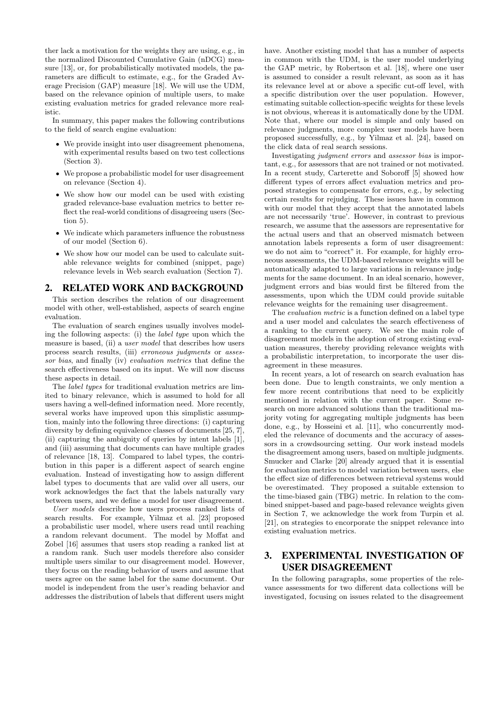ther lack a motivation for the weights they are using, e.g., in the normalized Discounted Cumulative Gain (nDCG) measure [13], or, for probabilistically motivated models, the parameters are difficult to estimate, e.g., for the Graded Average Precision (GAP) measure [18]. We will use the UDM, based on the relevance opinion of multiple users, to make existing evaluation metrics for graded relevance more realistic.

In summary, this paper makes the following contributions to the field of search engine evaluation:

- We provide insight into user disagreement phenomena, with experimental results based on two test collections (Section 3).
- We propose a probabilistic model for user disagreement on relevance (Section 4).
- We show how our model can be used with existing graded relevance-base evaluation metrics to better reflect the real-world conditions of disagreeing users (Section 5).
- We indicate which parameters influence the robustness of our model (Section 6).
- We show how our model can be used to calculate suitable relevance weights for combined (snippet, page) relevance levels in Web search evaluation (Section 7).

# **RELATED WORK AND BACKGROUND**

This section describes the relation of our disagreement model with other, well-established, aspects of search engine evaluation.

The evaluation of search engines usually involves modeling the following aspects: (i) the *label type* upon which the measure is based, (ii) a *user model* that describes how users process search results, (iii) *erroneous judgments* or *assessor bias*, and finally (iv) *evaluation metrics* that define the search effectiveness based on its input. We will now discuss these aspects in detail.

The *label types* for traditional evaluation metrics are limited to binary relevance, which is assumed to hold for all users having a well-defined information need. More recently, several works have improved upon this simplistic assumption, mainly into the following three directions: (i) capturing diversity by defining equivalence classes of documents [25, 7], (ii) capturing the ambiguity of queries by intent labels [1], and (iii) assuming that documents can have multiple grades of relevance [18, 13]. Compared to label types, the contribution in this paper is a different aspect of search engine evaluation. Instead of investigating how to assign different label types to documents that are valid over all users, our work acknowledges the fact that the labels naturally vary between users, and we define a model for user disagreement.

*User models* describe how users process ranked lists of search results. For example, Yilmaz et al. [23] proposed a probabilistic user model, where users read until reaching a random relevant document. The model by Moffat and Zobel [16] assumes that users stop reading a ranked list at a random rank. Such user models therefore also consider multiple users similar to our disagreement model. However, they focus on the reading behavior of users and assume that users agree on the same label for the same document. Our model is independent from the user's reading behavior and addresses the distribution of labels that different users might have. Another existing model that has a number of aspects in common with the UDM, is the user model underlying the GAP metric, by Robertson et al. [18], where one user is assumed to consider a result relevant, as soon as it has its relevance level at or above a specific cut-off level, with a specific distribution over the user population. However, estimating suitable collection-specific weights for these levels is not obvious, whereas it is automatically done by the UDM. Note that, where our model is simple and only based on relevance judgments, more complex user models have been proposed successfully, e.g., by Yilmaz et al. [24], based on the click data of real search sessions.

Investigating *judgment errors* and *assessor bias* is important, e.g., for assessors that are not trained or not motivated. In a recent study, Carterette and Soboroff [5] showed how different types of errors affect evaluation metrics and proposed strategies to compensate for errors, e.g., by selecting certain results for rejudging. These issues have in common with our model that they accept that the annotated labels are not necessarily 'true'. However, in contrast to previous research, we assume that the assessors are representative for the actual users and that an observed mismatch between annotation labels represents a form of user disagreement: we do not aim to "correct" it. For example, for highly erroneous assessments, the UDM-based relevance weights will be automatically adapted to large variations in relevance judgments for the same document. In an ideal scenario, however, judgment errors and bias would first be filtered from the assessments, upon which the UDM could provide suitable relevance weights for the remaining user disagreement.

The *evaluation metric* is a function defined on a label type and a user model and calculates the search effectiveness of a ranking to the current query. We see the main role of disagreement models in the adoption of strong existing evaluation measures, thereby providing relevance weights with a probabilistic interpretation, to incorporate the user disagreement in these measures.

In recent years, a lot of research on search evaluation has been done. Due to length constraints, we only mention a few more recent contributions that need to be explicitly mentioned in relation with the current paper. Some research on more advanced solutions than the traditional majority voting for aggregating multiple judgments has been done, e.g., by Hosseini et al. [11], who concurrently modeled the relevance of documents and the accuracy of assessors in a crowdsourcing setting. Our work instead models the disagreement among users, based on multiple judgments. Smucker and Clarke [20] already argued that it is essential for evaluation metrics to model variation between users, else the effect size of differences between retrieval systems would be overestimated. They proposed a suitable extension to the time-biased gain (TBG) metric. In relation to the combined snippet-based and page-based relevance weights given in Section 7, we acknowledge the work from Turpin et al. [21], on strategies to encorporate the snippet relevance into existing evaluation metrics.

# 3. EXPERIMENTAL INVESTIGATION OF USER DISAGREEMENT

In the following paragraphs, some properties of the relevance assessments for two different data collections will be investigated, focusing on issues related to the disagreement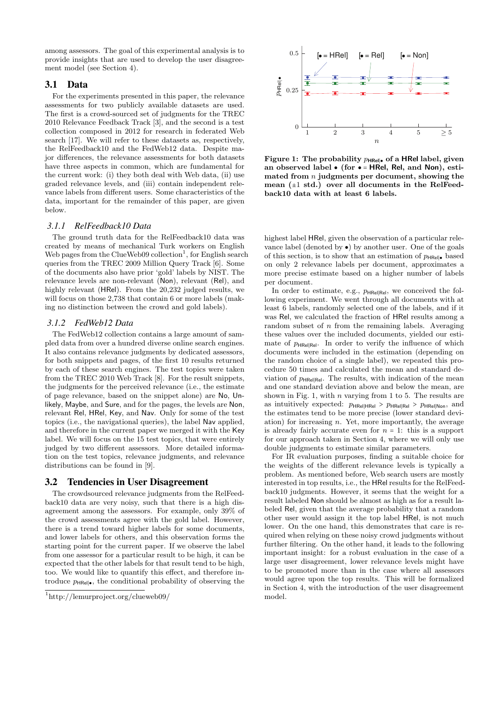among assessors. The goal of this experimental analysis is to provide insights that are used to develop the user disagreement model (see Section 4).

## 3.1 Data

For the experiments presented in this paper, the relevance assessments for two publicly available datasets are used. The first is a crowd-sourced set of judgments for the TREC 2010 Relevance Feedback Track [3], and the second is a test collection composed in 2012 for research in federated Web search [17]. We will refer to these datasets as, respectively, the RelFeedback10 and the FedWeb12 data. Despite major differences, the relevance assessments for both datasets have three aspects in common, which are fundamental for the current work: (i) they both deal with Web data, (ii) use graded relevance levels, and (iii) contain independent relevance labels from different users. Some characteristics of the data, important for the remainder of this paper, are given below.

#### *3.1.1 RelFeedback10 Data*

The ground truth data for the RelFeedback10 data was created by means of mechanical Turk workers on English Web pages from the ClueWeb09 collection<sup>1</sup>, for English search queries from the TREC 2009 Million Query Track [6]. Some of the documents also have prior 'gold' labels by NIST. The relevance levels are non-relevant (Non), relevant (Rel), and highly relevant (HRel). From the 20,232 judged results, we will focus on those 2,738 that contain 6 or more labels (making no distinction between the crowd and gold labels).

#### *3.1.2 FedWeb12 Data*

The FedWeb12 collection contains a large amount of sampled data from over a hundred diverse online search engines. It also contains relevance judgments by dedicated assessors, for both snippets and pages, of the first 10 results returned by each of these search engines. The test topics were taken from the TREC 2010 Web Track [8]. For the result snippets, the judgments for the perceived relevance (i.e., the estimate of page relevance, based on the snippet alone) are No, Unlikely, Maybe, and Sure, and for the pages, the levels are Non, relevant Rel, HRel, Key, and Nav. Only for some of the test topics (i.e., the navigational queries), the label Nav applied, and therefore in the current paper we merged it with the Key label. We will focus on the 15 test topics, that were entirely judged by two different assessors. More detailed information on the test topics, relevance judgments, and relevance distributions can be found in [9].

#### 3.2 Tendencies in User Disagreement

The crowdsourced relevance judgments from the RelFeedback10 data are very noisy, such that there is a high disagreement among the assessors. For example, only 39% of the crowd assessments agree with the gold label. However, there is a trend toward higher labels for some documents, and lower labels for others, and this observation forms the starting point for the current paper. If we observe the label from one assessor for a particular result to be high, it can be expected that the other labels for that result tend to be high, too. We would like to quantify this effect, and therefore introduce  $p_{HRe||\bullet}$ , the conditional probability of observing the



**Figure 1:** The probability  $p_{\text{HRel} | ∘}$  of a **HRel** label, given **an observed label** ● **(for** ● <sup>=</sup> **HRel, Rel, and Non), estimated from** *n* **judgments per document, showing the mean (**±1 **std.) over all documents in the RelFeedback10 data with at least 6 labels.**

highest label HRel, given the observation of a particular relevance label (denoted by  $\bullet$ ) by another user. One of the goals of this section, is to show that an estimation of  $p_{HRel| \bullet}$  based on only 2 relevance labels per document, approximates a more precise estimate based on a higher number of labels per document.

In order to estimate, e.g., *p*<sub>HRel</sub><sub>Rel</sub>, we conceived the following experiment. We went through all documents with at least 6 labels, randomly selected one of the labels, and if it was Rel, we calculated the fraction of HRel results among a random subset of *n* from the remaining labels. Averaging these values over the included documents, yielded our estimate of  $p_{HRell,el}$ . In order to verify the influence of which documents were included in the estimation (depending on the random choice of a single label), we repeated this procedure 50 times and calculated the mean and standard deviation of *p*<sub>HRel∣Rel</sub>. The results, with indication of the mean and one standard deviation above and below the mean, are shown in Fig. 1, with *n* varying from 1 to 5. The results are as intuitively expected:  $p_{HRel|HRel} > p_{HRel|Rel} > p_{HRel|Non}$ , and the estimates tend to be more precise (lower standard deviation) for increasing *n*. Yet, more importantly, the average is already fairly accurate even for  $n = 1$ : this is a support for our approach taken in Section 4, where we will only use double judgments to estimate similar parameters.

For IR evaluation purposes, finding a suitable choice for the weights of the different relevance levels is typically a problem. As mentioned before, Web search users are mostly interested in top results, i.e., the HRel results for the RelFeedback10 judgments. However, it seems that the weight for a result labeled Non should be almost as high as for a result labeled Rel, given that the average probability that a random other user would assign it the top label HRel, is not much lower. On the one hand, this demonstrates that care is required when relying on these noisy crowd judgments without further filtering. On the other hand, it leads to the following important insight: for a robust evaluation in the case of a large user disagreement, lower relevance levels might have to be promoted more than in the case where all assessors would agree upon the top results. This will be formalized in Section 4, with the introduction of the user disagreement model.

<sup>1</sup> http://lemurproject.org/clueweb09/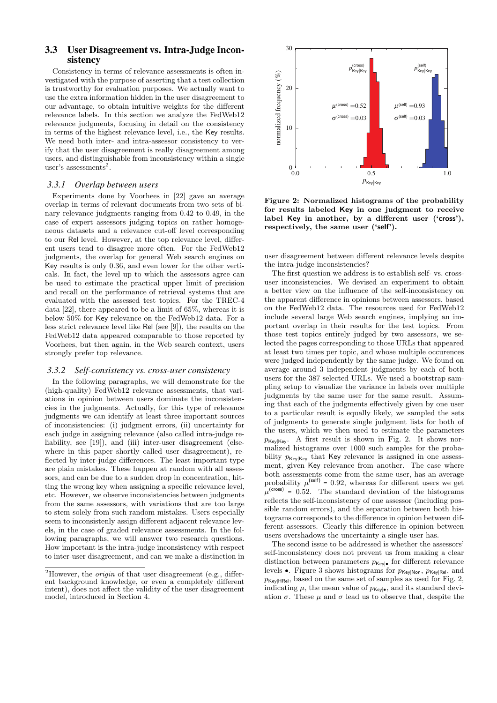# 3.3 User Disagreement vs. Intra-Judge Inconsistency

Consistency in terms of relevance assessments is often investigated with the purpose of asserting that a test collection is trustworthy for evaluation purposes. We actually want to use the extra information hidden in the user disagreement to our advantage, to obtain intuitive weights for the different relevance labels. In this section we analyze the FedWeb12 relevance judgments, focusing in detail on the consistency in terms of the highest relevance level, i.e., the Key results. We need both inter- and intra-assessor consistency to verify that the user disagreement is really disagreement among users, and distinguishable from inconsistency within a single user's assessments<sup>2</sup>.

#### *3.3.1 Overlap between users*

Experiments done by Voorhees in [22] gave an average overlap in terms of relevant documents from two sets of binary relevance judgments ranging from 0.42 to 0.49, in the case of expert assessors judging topics on rather homogeneous datasets and a relevance cut-off level corresponding to our Rel level. However, at the top relevance level, different users tend to disagree more often. For the FedWeb12 judgments, the overlap for general Web search engines on Key results is only 0.36, and even lower for the other verticals. In fact, the level up to which the assessors agree can be used to estimate the practical upper limit of precision and recall on the performance of retrieval systems that are evaluated with the assessed test topics. For the TREC-4 data [22], there appeared to be a limit of 65%, whereas it is below 50% for Key relevance on the FedWeb12 data. For a less strict relevance level like Rel (see [9]), the results on the FedWeb12 data appeared comparable to those reported by Voorhees, but then again, in the Web search context, users strongly prefer top relevance.

#### *3.3.2 Self-consistency vs. cross-user consistency*

In the following paragraphs, we will demonstrate for the (high-quality) FedWeb12 relevance assessments, that variations in opinion between users dominate the inconsistencies in the judgments. Actually, for this type of relevance judgments we can identify at least three important sources of inconsistencies: (i) judgment errors, (ii) uncertainty for each judge in assigning relevance (also called intra-judge reliability, see [19]), and (iii) inter-user disagreement (elsewhere in this paper shortly called user disagreement), reflected by inter-judge differences. The least important type are plain mistakes. These happen at random with all assessors, and can be due to a sudden drop in concentration, hitting the wrong key when assigning a specific relevance level, etc. However, we observe inconsistencies between judgments from the same assessors, with variations that are too large to stem solely from such random mistakes. Users especially seem to inconsistenly assign different adjacent relevance levels, in the case of graded relevance assessments. In the following paragraphs, we will answer two research questions. How important is the intra-judge inconsistency with respect to inter-user disagreement, and can we make a distinction in



**Figure 2: Normalized histograms of the probability for results labeled Key in one judgment to receive label Key in another, by a different user ('cross'), respectively, the same user ('self').**

user disagreement between different relevance levels despite the intra-judge inconsistencies?

The first question we address is to establish self- vs. crossuser inconsistencies. We devised an experiment to obtain a better view on the influence of the self-inconsistency on the apparent difference in opinions between assessors, based on the FedWeb12 data. The resources used for FedWeb12 include several large Web search engines, implying an important overlap in their results for the test topics. From those test topics entirely judged by two assessors, we selected the pages corresponding to those URLs that appeared at least two times per topic, and whose multiple occurences were judged independently by the same judge. We found on average around 3 independent judgments by each of both users for the 387 selected URLs. We used a bootstrap sampling setup to visualize the variance in labels over multiple judgments by the same user for the same result. Assuming that each of the judgments effectively given by one user to a particular result is equally likely, we sampled the sets of judgments to generate single judgment lists for both of the users, which we then used to estimate the parameters *p*<sub>Key∣Key</sub>. A first result is shown in Fig. 2. It shows normalized histograms over 1000 such samples for the probability  $p_{Key|Key}$  that Key relevance is assigned in one assessment, given Key relevance from another. The case where both assessments come from the same user, has an average probability  $\mu^{(\text{self})} = 0.92$ , whereas for different users we get  $\mu^{(cross)} = 0.52$ . The standard deviation of the histograms reflects the self-inconsistency of one assessor (including possible random errors), and the separation between both histograms corresponds to the difference in opinion between different assessors. Clearly this difference in opinion between users overshadows the uncertainty a single user has.

The second issue to be addressed is whether the assessors' self-inconsistency does not prevent us from making a clear distinction between parameters  $p_{\text{Key}|\bullet}$  for different relevance levels •. Figure 3 shows histograms for  $p_{Key|Non}$ ,  $p_{Key|Rel}$ , and  $p_{\text{Key|HRel}}$ , based on the same set of samples as used for Fig. 2, indicating  $\mu$ , the mean value of  $p_{\text{Key}|\bullet}$ , and its standard deviation  $\sigma$ . These  $\mu$  and  $\sigma$  lead us to observe that, despite the

<sup>&</sup>lt;sup>2</sup>However, the *origin* of that user disagreement (e.g., different background knowledge, or even a completely different intent), does not affect the validity of the user disagreement model, introduced in Section 4.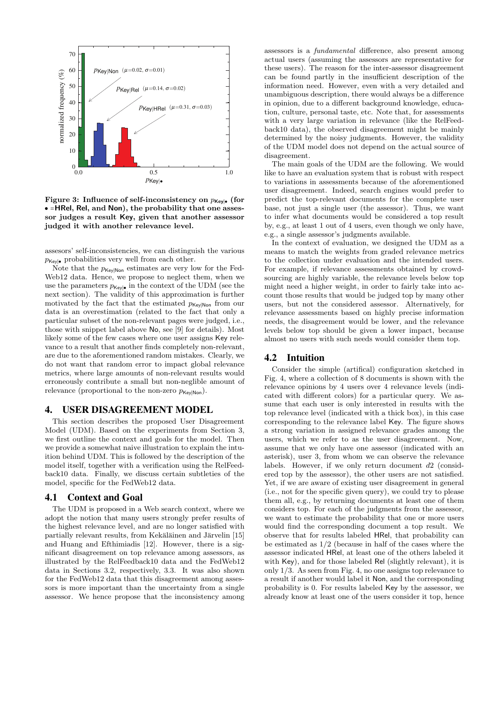

**Figure 3:** Influence of self-inconsistency on  $p_{\text{Key}|\bullet}$  (for ● <sup>=</sup>**HRel, Rel, and Non), the probability that one assessor judges a result Key, given that another assessor judged it with another relevance level.**

assesors' self-inconsistencies, we can distinguish the various  $p_{\text{Kev}}$  probabilities very well from each other.

Note that the  $p_{Key|Non}$  estimates are very low for the Fed-Web12 data. Hence, we propose to neglect them, when we use the parameters  $p_{\text{Key}|\bullet}$  in the context of the UDM (see the next section). The validity of this approximation is further motivated by the fact that the estimated  $p_{\text{Key/Non}}$  from our data is an overestimation (related to the fact that only a particular subset of the non-relevant pages were judged, i.e., those with snippet label above No, see [9] for details). Most likely some of the few cases where one user assigns Key relevance to a result that another finds completely non-relevant, are due to the aforementioned random mistakes. Clearly, we do not want that random error to impact global relevance metrics, where large amounts of non-relevant results would erroneously contribute a small but non-neglible amount of relevance (proportional to the non-zero  $p_{\text{Kev}|\text{Non}}$ ).

#### 4. USER DISAGREEMENT MODEL

This section describes the proposed User Disagreement Model (UDM). Based on the experiments from Section 3, we first outline the context and goals for the model. Then we provide a somewhat naive illustration to explain the intuition behind UDM. This is followed by the description of the model itself, together with a verification using the RelFeedback10 data. Finally, we discuss certain subtleties of the model, specific for the FedWeb12 data.

#### 4.1 Context and Goal

The UDM is proposed in a Web search context, where we adopt the notion that many users strongly prefer results of the highest relevance level, and are no longer satisfied with partially relevant results, from Kekäläinen and Järvelin [15] and Huang and Efthimiadis [12]. However, there is a significant disagreement on top relevance among assessors, as illustrated by the RelFeedback10 data and the FedWeb12 data in Sections 3.2, respectively, 3.3. It was also shown for the FedWeb12 data that this disagreement among assessors is more important than the uncertainty from a single assessor. We hence propose that the inconsistency among

assessors is a *fundamental* difference, also present among actual users (assuming the assessors are representative for these users). The reason for the inter-assessor disagreement can be found partly in the insufficient description of the information need. However, even with a very detailed and unambiguous description, there would always be a difference in opinion, due to a different background knowledge, education, culture, personal taste, etc. Note that, for assessments with a very large variation in relevance (like the RelFeedback10 data), the observed disagreement might be mainly determined by the noisy judgments. However, the validity of the UDM model does not depend on the actual source of disagreement.

The main goals of the UDM are the following. We would like to have an evaluation system that is robust with respect to variations in assessments because of the aforementioned user disagreement. Indeed, search engines would prefer to predict the top-relevant documents for the complete user base, not just a single user (the assessor). Thus, we want to infer what documents would be considered a top result by, e.g., at least 1 out of 4 users, even though we only have, e.g., a single assessor's judgments available.

In the context of evaluation, we designed the UDM as a means to match the weights from graded relevance metrics to the collection under evaluation and the intended users. For example, if relevance assessments obtained by crowdsourcing are highly variable, the relevance levels below top might need a higher weight, in order to fairly take into account those results that would be judged top by many other users, but not the considered assessor. Alternatively, for relevance assessments based on highly precise information needs, the disagreement would be lower, and the relevance levels below top should be given a lower impact, because almost no users with such needs would consider them top.

# 4.2 Intuition

Consider the simple (artifical) configuration sketched in Fig. 4, where a collection of 8 documents is shown with the relevance opinions by 4 users over 4 relevance levels (indicated with different colors) for a particular query. We assume that each user is only interested in results with the top relevance level (indicated with a thick box), in this case corresponding to the relevance label Key. The figure shows a strong variation in assigned relevance grades among the users, which we refer to as the user disagreement. Now, assume that we only have one assessor (indicated with an asterisk), user 3, from whom we can observe the relevance labels. However, if we only return document *d*2 (considered top by the assessor), the other users are not satisfied. Yet, if we are aware of existing user disagreement in general (i.e., not for the specific given query), we could try to please them all, e.g., by returning documents at least one of them considers top. For each of the judgments from the assessor, we want to estimate the probability that one or more users would find the corresponding document a top result. We observe that for results labeled HRel, that probability can be estimated as 1/2 (because in half of the cases where the assessor indicated HRel, at least one of the others labeled it with Key), and for those labeled Rel (slightly relevant), it is only 1/3. As seen from Fig. 4, no one assigns top relevance to a result if another would label it Non, and the corresponding probability is 0. For results labeled Key by the assessor, we already know at least one of the users consider it top, hence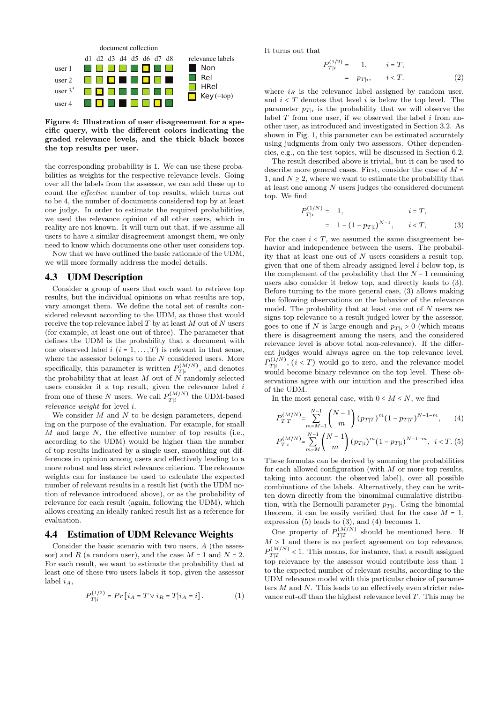

**Figure 4: Illustration of user disagreement for a specific query, with the different colors indicating the graded relevance levels, and the thick black boxes the top results per user.**

the corresponding probability is 1. We can use these probabilities as weights for the respective relevance levels. Going over all the labels from the assessor, we can add these up to count the *effective* number of top results, which turns out to be 4, the number of documents considered top by at least one judge. In order to estimate the required probabilities, we used the relevance opinion of all other users, which in reality are not known. It will turn out that, if we assume all users to have a similar disagreement amongst them, we only need to know which documents one other user considers top.

Now that we have outlined the basic rationale of the UDM, we will more formally address the model details.

#### 4.3 UDM Description

Consider a group of users that each want to retrieve top results, but the individual opinions on what results are top, vary amongst them. We define the total set of results considered relevant according to the UDM, as those that would receive the top relevance label *T* by at least *M* out of *N* users (for example, at least one out of three). The parameter that defines the UDM is the probability that a document with one observed label  $i$  ( $i = 1, ..., T$ ) is relevant in that sense, where the assessor belongs to the *N* considered users. More specifically, this parameter is written  $P_{T|i}^{(M/N)}$ , and denotes the probability that at least *M* out of *N* randomly selected users consider it a top result, given the relevance label *i* from one of these *N* users. We call  $P_{T|i}^{(M/N)}$  the UDM-based *relevance weight* for level *i*.

We consider *M* and *N* to be design parameters, depending on the purpose of the evaluation. For example, for small *M* and large *N*, the effective number of top results (i.e., according to the UDM) would be higher than the number of top results indicated by a single user, smoothing out differences in opinion among users and effectively leading to a more robust and less strict relevance criterion. The relevance weights can for instance be used to calculate the expected number of relevant results in a result list (with the UDM notion of relevance introduced above), or as the probability of relevance for each result (again, following the UDM), which allows creating an ideally ranked result list as a reference for evaluation.

## 4.4 Estimation of UDM Relevance Weights

Consider the basic scenario with two users, *A* (the assessor) and *R* (a random user), and the case  $M = 1$  and  $N = 2$ . For each result, we want to estimate the probability that at least one of these two users labels it top, given the assessor label  $i_A$ ,

$$
P_{T|i}^{(1/2)} = Pr[i_A = T \vee i_R = T|i_A = i]. \tag{1}
$$

It turns out that

$$
P_{T|i}^{(1/2)} = 1, \t i = T,
$$
  
=  $p_{T|i}, \t i < T.$  (2)

where  $i_R$  is the relevance label assigned by random user, and *<sup>i</sup>* <sup>&</sup>lt; *<sup>T</sup>* denotes that level *<sup>i</sup>* is below the top level. The parameter  $p_{T|i}$  is the probability that we will observe the label *T* from one user, if we observed the label *i* from another user, as introduced and investigated in Section 3.2. As shown in Fig. 1, this parameter can be estimated accurately using judgments from only two assessors. Other dependencies, e.g., on the test topics, will be discussed in Section 6.2.

The result described above is trivial, but it can be used to describe more general cases. First, consider the case of *<sup>M</sup>* <sup>=</sup> 1, and  $N > 2$ , where we want to estimate the probability that at least one among *N* users judges the considered document top. We find

$$
P_{T|i}^{(1/N)} = 1, \t i = T,
$$
  
= 1 - (1 - p\_{T|i})^{N-1}, \t i < T, (3)

For the case  $i < T$ , we assumed the same disagreement behavior and independence between the users. The probability that at least one out of *N* users considers a result top, given that one of them already assigned level *i* below top, is the complement of the probability that the *N* − 1 remaining users also consider it below top, and directly leads to (3). Before turning to the more general case, (3) allows making the following observations on the behavior of the relevance model. The probability that at least one out of *N* users assigns top relevance to a result judged lower by the assessor, goes to one if *N* is large enough and  $p_{T|i} > 0$  (which means there is disagreement among the users, and the considered relevance level is above total non-relevance). If the different judges would always agree on the top relevance level,  $P_{T|i}^{(1/N)}$ ,  $(i < T)$  would go to zero, and the relevance model would become binary relevance on the top level. These observations agree with our intuition and the prescribed idea of the UDM.

In the most general case, with  $0 \le M \le N$ , we find

$$
P_{T|T}^{(M/N)} = \sum_{m=M-1}^{N-1} {N-1 \choose m} (p_{T|T})^m (1 - p_{T|T})^{N-1-m}, \qquad (4)
$$
  

$$
P_{T|i}^{(M/N)} = \sum_{m=M}^{N-1} {N-1 \choose m} (p_{T|i})^m (1 - p_{T|i})^{N-1-m}, \quad i < T. (5)
$$

These formulas can be derived by summing the probabilities for each allowed configuration (with *M* or more top results, taking into account the observed label), over all possible combinations of the labels. Alternatively, they can be written down directly from the binomimal cumulative distribution, with the Bernoulli parameter  $p_{T|i}$ . Using the binomial theorem, it can be easily verified that for the case  $M = 1$ , expression (5) leads to (3), and (4) becomes 1.

One property of  $P_{T|T}^{(M/N)}$  should be mentioned here. If  $M > 1$  and there is no perfect agreement on top relevance,  $P_{\text{IT}}^{(M/N)}$  < 1. This means, for instance, that a result assigned top relevance by the assessor would contribute less than 1 to the expected number of relevant results, according to the UDM relevance model with this particular choice of parameters *M* and *N*. This leads to an effectively even stricter relevance cut-off than the highest relevance level *T*. This may be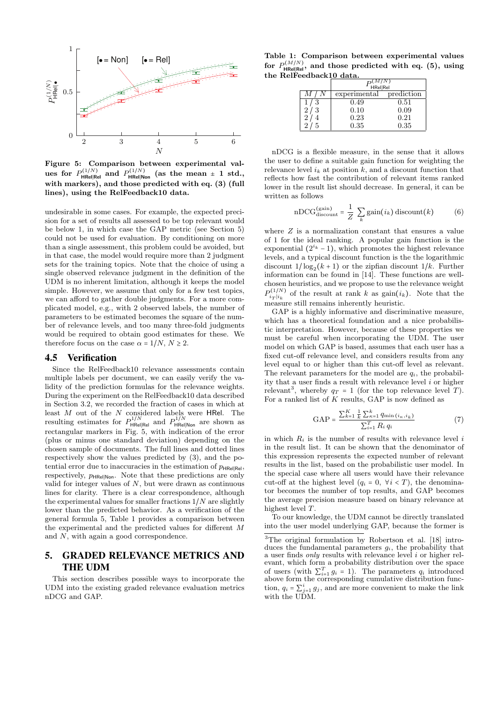

**Figure 5: Comparison between experimental values for**  $P_{\text{HRel}| \text{Rel}}^{(1/N)}$  and  $P_{\text{HRel} | \text{Non}}^{(1/N)}$  (as the mean  $\pm$  1 std., **with markers), and those predicted with eq. (3) (full lines), using the RelFeedback10 data.**

undesirable in some cases. For example, the expected precision for a set of results all assessed to be top relevant would be below 1, in which case the GAP metric (see Section 5) could not be used for evaluation. By conditioning on more than a single assessment, this problem could be avoided, but in that case, the model would require more than 2 judgment sets for the training topics. Note that the choice of using a single observed relevance judgment in the definition of the UDM is no inherent limitation, although it keeps the model simple. However, we assume that only for a few test topics, we can afford to gather double judgments. For a more complicated model, e.g., with 2 observed labels, the number of parameters to be estimated becomes the square of the number of relevance levels, and too many three-fold judgments would be required to obtain good estimates for these. We therefore focus on the case  $\alpha = 1/N$ ,  $N \ge 2$ .

#### 4.5 Verification

Since the RelFeedback10 relevance assessments contain multiple labels per document, we can easily verify the validity of the prediction formulas for the relevance weights. During the experiment on the RelFeedback10 data described in Section 3.2, we recorded the fraction of cases in which at least *M* out of the *N* considered labels were HRel. The resulting estimates for  $P_{\text{HRel}|Rel}^{1/N}$  and  $P_{\text{HRel}|Non}^{1/N}$  are shown as rectangular markers in Fig. 5, with indication of the error (plus or minus one standard deviation) depending on the chosen sample of documents. The full lines and dotted lines respectively show the values predicted by (3), and the potential error due to inaccuracies in the estimation of  $p_{HRell}|$ respectively,  $p_{HRell|Non}$ . Note that these predictions are only valid for integer values of *N*, but were drawn as continuous lines for clarity. There is a clear correspondence, although the experimental values for smaller fractions 1/*N* are slightly lower than the predicted behavior. As a verification of the general formula 5, Table 1 provides a comparison between the experimental and the predicted values for different *M* and *N*, with again a good correspondence.

# 5. GRADED RELEVANCE METRICS AND THE UDM

This section describes possible ways to incorporate the UDM into the existing graded relevance evaluation metrics nDCG and GAP.

**Table 1: Comparison between experimental values for**  $P_{\text{RRE}}^{(M/N)}$ , and those predicted with eq. (5), using **the RelFeedback10 data.**

|   | HRel Rel     |            |  |
|---|--------------|------------|--|
|   | experimental | prediction |  |
|   | 0.49         | 0.51       |  |
| 3 | 0.10         | 0.09       |  |
|   | 0.23         | 0.21       |  |
|   | 0.35         | $0.35\,$   |  |

nDCG is a flexible measure, in the sense that it allows the user to define a suitable gain function for weighting the relevance level  $i_k$  at position  $k$ , and a discount function that reflects how fast the contribution of relevant items ranked lower in the result list should decrease. In general, it can be written as follows

$$
nDCG_{discount}^{(\text{gain})} = \frac{1}{Z} \sum_{k} \text{gain}(i_k) \text{discount}(k) \tag{6}
$$

where *Z* is a normalization constant that ensures a value of 1 for the ideal ranking. A popular gain function is the exponential  $(2^{i_k} - 1)$ , which promotes the highest relevance levels, and a typical discount function is the the logarithmic discount  $1/\log_2(k+1)$  or the zipfian discount  $1/k$ . Further information can be found in [14]. These functions are wellchosen heuristics, and we propose to use the relevance weight  $P_{i}^{(1/N)}$  of the result at rank *k* as gain $(i_k)$ . Note that the measure still remains inherently heuristic.

GAP is a highly informative and discriminative measure. which has a theoretical foundation and a nice probabilistic interpretation. However, because of these properties we must be careful when incorporating the UDM. The user model on which GAP is based, assumes that each user has a fixed cut-off relevance level, and considers results from any level equal to or higher than this cut-off level as relevant. The relevant parameters for the model are  $q_i$ , the probability that a user finds a result with relevance level *i* or higher relevant<sup>3</sup>, whereby  $q_T = 1$  (for the top relevance level *T*). For a ranked list of *K* results, GAP is now defined as

$$
GAP = \frac{\sum_{k=1}^{K} \frac{1}{k} \sum_{k=1}^{k} q_{\min}(i_k, i_k)}{\sum_{i=1}^{T} R_i q_i}
$$
(7)

in which *R<sup>i</sup>* is the number of results with relevance level *i* in the result list. It can be shown that the denominator of this expression represents the expected number of relevant results in the list, based on the probabilistic user model. In the special case where all users would have their relevance cut-off at the highest level  $(q_i = 0, \forall i \le T)$ , the denominator becomes the number of top results, and GAP becomes the average precision measure based on binary relevance at highest level *T*.

To our knowledge, the UDM cannot be directly translated into the user model underlying GAP, because the former is

<sup>3</sup>The original formulation by Robertson et al. [18] introduces the fundamental parameters *gi*, the probability that a user finds *only* results with relevance level *i* or higher relevant, which form a probability distribution over the space of users (with  $\sum_{i=1}^{T} g_i = 1$ ). The parameters  $q_i$  introduced<br>above form the corresponding cumulative distribution funcabove form the corresponding cumulative distribution function,  $q_i = \sum_{j=1}^i g_j$ , and are more convenient to make the link<br>with the UDM with the UDM.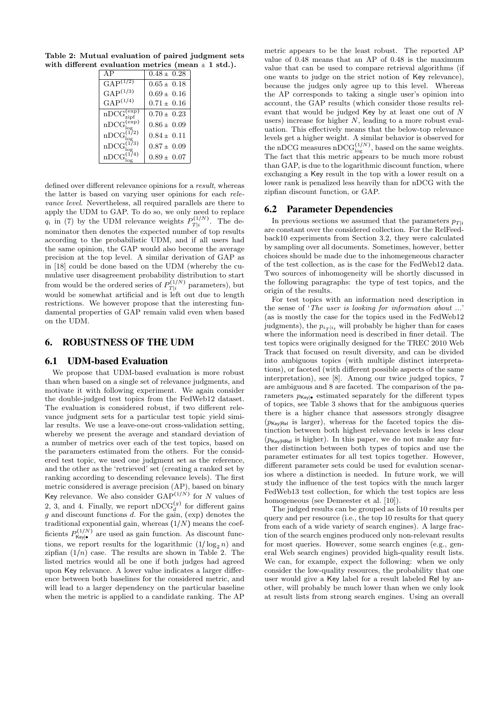**Table 2: Mutual evaluation of paired judgment sets with different evaluation metrics (mean** ± **1 std.).**

|                                    | $0.48 \pm 0.28$ |
|------------------------------------|-----------------|
| $\text{GAP}^{(1/2)}$               | $0.65 \pm 0.18$ |
| $GAP^{(1/3)}$                      | $0.69 \pm 0.16$ |
| $GAP^{(1/4)}$                      | $0.71 \pm 0.16$ |
| $nDCG_{zipf}^{(exp)}$              | $0.70 \pm 0.23$ |
| $nDCG_{\text{log}}^{\text{(exp)}}$ | $0.86 \pm 0.09$ |
| $nDCG_{\text{loc}}^{(1/2)}$        | $0.84 \pm 0.11$ |
| $nDCG_{log}^{(173)}$               | $0.87 \pm 0.09$ |
| $nDCG_{lo}^{(1)}$                  | $0.89 \pm 0.07$ |

defined over different relevance opinions for a *result*, whereas the latter is based on varying user opinions for each *relevance level*. Nevertheless, all required parallels are there to apply the UDM to GAP. To do so, we only need to replace *q*<sub>*i*</sub> in (7) by the UDM relevance weights  $P_{T|i}^{(1/N)}$ . The denominator then denotes the expected number of top results according to the probabilistic UDM, and if all users had the same opinion, the GAP would also become the average precision at the top level. A similar derivation of GAP as in [18] could be done based on the UDM (whereby the cumulative user disagreement probability distribution to start from would be the ordered series of  $P_{T|i}^{(1/N)}$  parameters), but would be somewhat artificial and is left out due to length restrictions. We however propose that the interesting fundamental properties of GAP remain valid even when based on the UDM.

# 6. ROBUSTNESS OF THE UDM

#### 6.1 UDM-based Evaluation

We propose that UDM-based evaluation is more robust than when based on a single set of relevance judgments, and motivate it with following experiment. We again consider the double-judged test topics from the FedWeb12 dataset. The evaluation is considered robust, if two different relevance judgment sets for a particular test topic yield similar results. We use a leave-one-out cross-validation setting, whereby we present the average and standard deviation of a number of metrics over each of the test topics, based on the parameters estimated from the others. For the considered test topic, we used one judgment set as the reference, and the other as the 'retrieved' set (creating a ranked set by ranking according to descending relevance levels). The first metric considered is average precision (AP), based on binary Key relevance. We also consider  $\text{GAP}^{(1/N)}$  for *N* values of 2, 3, and 4. Finally, we report  $nDCG_d^{(g)}$  for different gains *g* and discount functions *d*. For the gain, (exp) denotes the traditional exponential gain, whereas (1/*N*) means the coefficients  $P_{\text{Key}|\bullet}^{(1/N)}$  are used as gain function. As discount functions, we report results for the logarithmic  $(1/\log_2 n)$  and zipfian  $(1/n)$  case. The results are shown in Table 2. The listed metrics would all be one if both judges had agreed upon Key relevance. A lower value indicates a larger difference between both baselines for the considered metric, and will lead to a larger dependency on the particular baseline when the metric is applied to a candidate ranking. The AP

metric appears to be the least robust. The reported AP value of 0*.*48 means that an AP of 0*.*48 is the maximum value that can be used to compare retrieval algorithms (if one wants to judge on the strict notion of Key relevance), because the judges only agree up to this level. Whereas the AP corresponds to taking a single user's opinion into account, the GAP results (which consider those results relevant that would be judged Key by at least one out of *N* users) increase for higher *N*, leading to a more robust evaluation. This effectively means that the below-top relevance levels get a higher weight. A similar behavior is observed for the nDCG measures nDCG ${}^{(1/N)}_{log}$ , based on the same weights. The fact that this metric appears to be much more robust than GAP, is due to the logarithmic discount function, where exchanging a Key result in the top with a lower result on a lower rank is penalized less heavily than for nDCG with the zipfian discount function, or GAP.

#### 6.2 Parameter Dependencies

In previous sections we assumed that the parameters  $p_{T|i}$ are constant over the considered collection. For the RelFeedback10 experiments from Section 3.2, they were calculated by sampling over all documents. Sometimes, however, better choices should be made due to the inhomegeneous character of the test collection, as is the case for the FedWeb12 data. Two sources of inhomogeneity will be shortly discussed in the following paragraphs: the type of test topics, and the origin of the results.

For test topics with an information need description in the sense of '*The user is looking for information about ...*' (as is mostly the case for the topics used in the FedWeb12 judgments), the  $p_{i_T\mid i_t}$  will probably be higher than for cases where the information need is described in finer detail. The test topics were originally designed for the TREC 2010 Web Track that focused on result diversity, and can be divided into ambiguous topics (with multiple distinct interpretations), or faceted (with different possible aspects of the same interpretation), see [8]. Among our twice judged topics, 7 are ambiguous and 8 are faceted. The comparison of the parameters  $p_{Key|•}$  estimated separately for the different types of topics, see Table 3 shows that for the ambiguous queries there is a higher chance that assessors strongly disagree (*p*Key∣Rel is larger), whereas for the faceted topics the distinction between both highest relevance levels is less clear  $(p_{Key|HRel}$  is higher). In this paper, we do not make any further distinction between both types of topics and use the parameter estimates for all test topics together. However, different parameter sets could be used for evalution scenarios where a distinction is needed. In future work, we will study the influence of the test topics with the much larger FedWeb13 test collection, for which the test topics are less homogeneous (see Demeester et al. [10]).

The judged results can be grouped as lists of 10 results per query and per resource (i.e., the top 10 results for that query from each of a wide variety of search engines). A large fraction of the search engines produced only non-relevant results for most queries. However, some search engines (e.g., general Web search engines) provided high-quality result lists. We can, for example, expect the following: when we only consider the low-quality resources, the probability that one user would give a Key label for a result labeled Rel by another, will probably be much lower than when we only look at result lists from strong search engines. Using an overall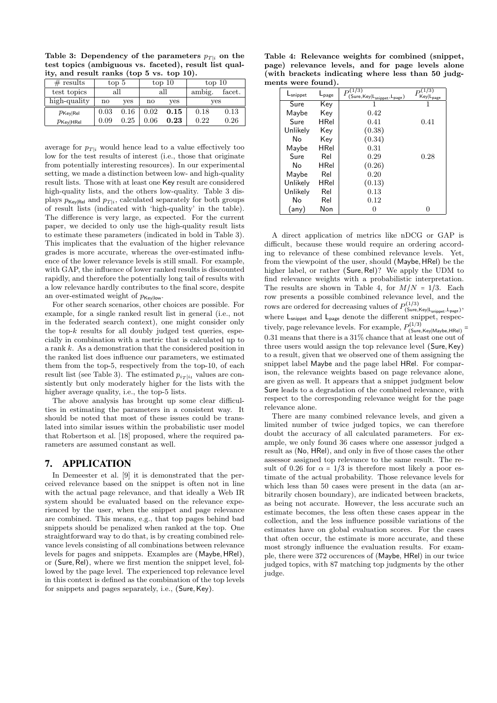**Table 3: Dependency of the parameters**  $p_{T|i}$  on the **test topics (ambiguous vs. faceted), result list quality, and result ranks (top 5 vs. top 10).**

| # results                                 | top 5 |      | top 10                 |      | top 10 |        |
|-------------------------------------------|-------|------|------------------------|------|--------|--------|
| test topics                               |       | all  |                        | all  | ambig. | facet. |
| high-quality                              | no    | ves  | $\mathbf{n}\mathbf{o}$ | ves  | ves    |        |
| $p_{\mathsf{Key} \mathsf{Rel}}$           | 0.03  | 0.16 | 0.02                   | 0.15 | 0.18   | 0.13   |
| $p_{\mathsf{Key} \mathsf{H}\mathsf{Rel}}$ | 0.09  | 0.25 | 0.06                   | 0.23 | 0.22   | 0.26   |

average for  $p_{T|i}$  would hence lead to a value effectively too low for the test results of interest (i.e., those that originate from potentially interesting resources). In our experimental setting, we made a distinction between low- and high-quality result lists. Those with at least one Key result are considered high-quality lists, and the others low-quality. Table 3 displays  $p_{Key|Rel}$  and  $p_{T|i}$ , calculated separately for both groups of result lists (indicated with 'high-quality' in the table). The difference is very large, as expected. For the current paper, we decided to only use the high-quality result lists to estimate these parameters (indicated in bold in Table 3). This implicates that the evaluation of the higher relevance grades is more accurate, whereas the over-estimated influence of the lower relevance levels is still small. For example, with GAP, the influence of lower ranked results is discounted rapidly, and therefore the potentially long tail of results with a low relevance hardly contributes to the final score, despite an over-estimated weight of  $p_{Key|low}$ .

For other search scenarios, other choices are possible. For example, for a single ranked result list in general (i.e., not in the federated search context), one might consider only the top-*k* results for all doubly judged test queries, especially in combination with a metric that is calculated up to a rank *k*. As a demonstration that the considered position in the ranked list does influence our parameters, we estimated them from the top-5, respectively from the top-10, of each result list (see Table 3). The estimated  $p_{i_T|i_t}$  values are consistently but only moderately higher for the lists with the higher average quality, i.e., the top-5 lists.

The above analysis has brought up some clear difficulties in estimating the parameters in a consistent way. It should be noted that most of these issues could be translated into similar issues within the probabilistic user model that Robertson et al. [18] proposed, where the required parameters are assumed constant as well.

#### 7. APPLICATION

In Demeester et al. [9] it is demonstrated that the perceived relevance based on the snippet is often not in line with the actual page relevance, and that ideally a Web IR system should be evaluated based on the relevance experienced by the user, when the snippet and page relevance are combined. This means, e.g., that top pages behind bad snippets should be penalized when ranked at the top. One straightforward way to do that, is by creating combined relevance levels consisting of all combinations between relevance levels for pages and snippets. Examples are (Maybe*,* HRel), or (Sure*,*Rel), where we first mention the snippet level, followed by the page level. The experienced top relevance level in this context is defined as the combination of the top levels for snippets and pages separately, i.e., (Sure*,* Key).

**Table 4: Relevance weights for combined (snippet, page) relevance levels, and for page levels alone (with brackets indicating where less than 50 judgments were found).**

| L <sub>snippet</sub> | $L_{\text{page}}$ | $P^{(1/3)}$<br>$(\mathsf{Sure},\mathsf{Key} \mathsf{L}_{\mathsf{snippet}},\mathsf{L}_{\mathsf{page}})$ | $Key L_{\underline{page}}$ |
|----------------------|-------------------|--------------------------------------------------------------------------------------------------------|----------------------------|
| Sure                 | Kev               |                                                                                                        |                            |
| Maybe                | Kev               | 0.42                                                                                                   |                            |
| Sure                 | HRel              | 0.41                                                                                                   | 0.41                       |
| Unlikely             | Key               | (0.38)                                                                                                 |                            |
| No                   | Key               | (0.34)                                                                                                 |                            |
| Maybe                | HRel              | 0.31                                                                                                   |                            |
| Sure                 | Rel               | 0.29                                                                                                   | 0.28                       |
| No.                  | <b>HRel</b>       | (0.26)                                                                                                 |                            |
| Maybe                | Rel               | 0.20                                                                                                   |                            |
| Unlikely             | <b>HRel</b>       | (0.13)                                                                                                 |                            |
| Unlikely             | Rel               | 0.13                                                                                                   |                            |
| No                   | Rel               | 0.12                                                                                                   |                            |
| (any)                | Non               |                                                                                                        | 0                          |

A direct application of metrics like nDCG or GAP is difficult, because these would require an ordering according to relevance of these combined relevance levels. Yet, from the viewpoint of the user, should (Maybe*,* HRel) be the higher label, or rather (Sure, Rel)? We apply the UDM to find relevance weights with a probabilistic interpretation. The results are shown in Table 4, for  $M/N = 1/3$ . Each row presents a possible combined relevance level, and the rows are ordered for decreasing values of  $P_{(\mathsf{Sure},\mathsf{Key}|\mathsf{L}_{\mathsf{snippet}},\mathsf{L}_{\mathsf{page}})}^{(1/3)}$ where  $L_{\text{snippet}}$  and  $L_{\text{page}}$  denote the different snippet, respectively, page relevance levels. For example,  $P_{\text{(Sure,Key|Maybe,HRel)}}^{(1/3)}$ 0*.*31 means that there is a 31% chance that at least one out of three users would assign the top relevance level (Sure*,* Key) to a result, given that we observed one of them assigning the snippet label Maybe and the page label HRel. For comparison, the relevance weights based on page relevance alone, are given as well. It appears that a snippet judgment below Sure leads to a degradation of the combined relevance, with respect to the corresponding relevance weight for the page relevance alone.

There are many combined relevance levels, and given a limited number of twice judged topics, we can therefore doubt the accuracy of all calculated parameters. For example, we only found 36 cases where one assessor judged a result as (No, HRel), and only in five of those cases the other assessor assigned top relevance to the same result. The result of 0.26 for  $\alpha = 1/3$  is therefore most likely a poor estimate of the actual probability. Those relevance levels for which less than 50 cases were present in the data (an arbitrarily chosen boundary), are indicated between brackets, as being not accurate. However, the less accurate such an estimate becomes, the less often these cases appear in the collection, and the less influence possible variations of the estimates have on global evaluation scores. For the cases that often occur, the estimate is more accurate, and these most strongly influence the evaluation results. For example, there were 372 occurences of (Maybe, HRel) in our twice judged topics, with 87 matching top judgments by the other judge.